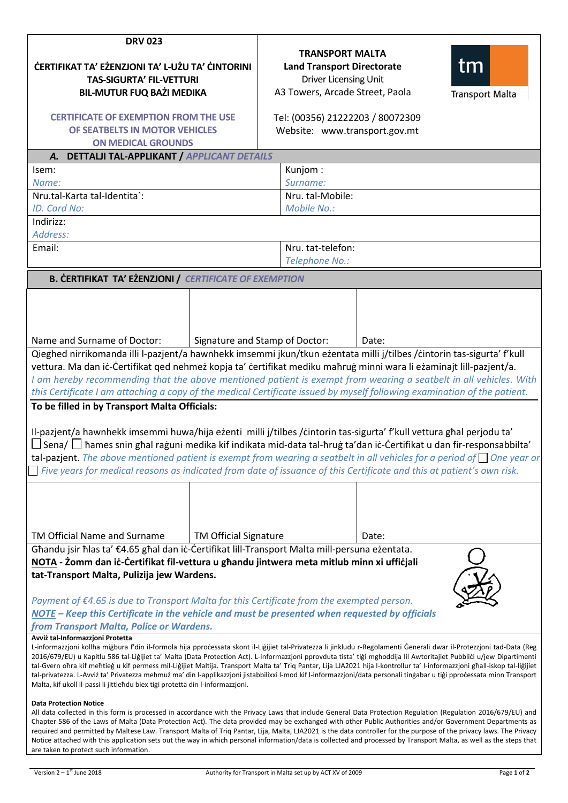| <b>DRV 023</b><br><b>ĊERTIFIKAT TA' EŻENZJONI TA' L-UŻU TA' CINTORINI</b><br><b>TAS-SIGURTA' FIL-VETTURI</b><br><b>BIL-MUTUR FUQ BAŻI MEDIKA</b><br><b>CERTIFICATE OF EXEMPTION FROM THE USE</b><br>OF SEATBELTS IN MOTOR VEHICLES<br><b>ON MEDICAL GROUNDS</b><br><b>DETTALJI TAL-APPLIKANT / APPLICANT DETAILS</b><br>A.<br>Isem:<br>Name:<br>Nru.tal-Karta tal-Identita`:<br>ID. Card No:                                                                                                                                                                                                                                                                                                                                                                                                                                    |                                | <b>TRANSPORT MALTA</b><br>tm<br><b>Land Transport Directorate</b><br>Driver Licensing Unit<br>A3 Towers, Arcade Street, Paola<br><b>Transport Malta</b><br>Tel: (00356) 21222203 / 80072309<br>Website: www.transport.gov.mt<br>Kunjom:<br>Surname:<br>Nru. tal-Mobile: |                                     |       |  |
|---------------------------------------------------------------------------------------------------------------------------------------------------------------------------------------------------------------------------------------------------------------------------------------------------------------------------------------------------------------------------------------------------------------------------------------------------------------------------------------------------------------------------------------------------------------------------------------------------------------------------------------------------------------------------------------------------------------------------------------------------------------------------------------------------------------------------------|--------------------------------|-------------------------------------------------------------------------------------------------------------------------------------------------------------------------------------------------------------------------------------------------------------------------|-------------------------------------|-------|--|
| Mobile No.:<br>Indirizz:                                                                                                                                                                                                                                                                                                                                                                                                                                                                                                                                                                                                                                                                                                                                                                                                        |                                |                                                                                                                                                                                                                                                                         |                                     |       |  |
| Address:<br>Email:                                                                                                                                                                                                                                                                                                                                                                                                                                                                                                                                                                                                                                                                                                                                                                                                              |                                |                                                                                                                                                                                                                                                                         | Nru. tat-telefon:<br>Telephone No.: |       |  |
| <b>B. CERTIFIKAT TA' EZENZJONI / CERTIFICATE OF EXEMPTION</b>                                                                                                                                                                                                                                                                                                                                                                                                                                                                                                                                                                                                                                                                                                                                                                   |                                |                                                                                                                                                                                                                                                                         |                                     |       |  |
| Name and Surname of Doctor:                                                                                                                                                                                                                                                                                                                                                                                                                                                                                                                                                                                                                                                                                                                                                                                                     | Signature and Stamp of Doctor: |                                                                                                                                                                                                                                                                         |                                     | Date: |  |
| Qieghed nirrikomanda illi l-pazjent/a hawnhekk imsemmi jkun/tkun eżentata milli j/tilbes /cintorin tas-sigurta' f'kull<br>vettura. Ma dan iċ-Ċertifikat qed nehmeż kopja ta' ċertifikat mediku maħruġ minni wara li eżaminajt lill-pazjent/a.<br>I am hereby recommending that the above mentioned patient is exempt from wearing a seatbelt in all vehicles. With<br>this Certificate I am attaching a copy of the medical Certificate issued by myself following examination of the patient.                                                                                                                                                                                                                                                                                                                                  |                                |                                                                                                                                                                                                                                                                         |                                     |       |  |
| To be filled in by Transport Malta Officials:<br>Il-pazjent/a hawnhekk imsemmi huwa/hija eżenti milli j/tilbes /cintorin tas-sigurta' f'kull vettura ghal perjodu ta'<br>∐ Sena/ ∐ ħames snin għal raġuni medika kif indikata mid-data tal-ħruġ ta'dan iċ-Ċertifikat u dan fir-responsabbilta'<br><b>tal-pazient</b> . The above mentioned patient is exempt from wearing a seatbelt in all vehicles for a period of $\Box$ One year or<br>Five years for medical reasons as indicated from date of issuance of this Certificate and this at patient's own risk.                                                                                                                                                                                                                                                                |                                |                                                                                                                                                                                                                                                                         |                                     |       |  |
| TM Official Name and Surname                                                                                                                                                                                                                                                                                                                                                                                                                                                                                                                                                                                                                                                                                                                                                                                                    | <b>TM Official Signature</b>   |                                                                                                                                                                                                                                                                         |                                     | Date: |  |
| Għandu jsir ħlas ta' €4.65 għal dan iċ-Ċertifikat lill-Transport Malta mill-persuna eżentata.                                                                                                                                                                                                                                                                                                                                                                                                                                                                                                                                                                                                                                                                                                                                   |                                |                                                                                                                                                                                                                                                                         |                                     |       |  |
| NOTA - Żomm dan iċ-Ċertifikat fil-vettura u għandu jintwera meta mitlub minn xi uffiċjali<br>tat-Transport Malta, Pulizija jew Wardens.<br>Payment of €4.65 is due to Transport Malta for this Certificate from the exempted person.<br>NOTE – Keep this Certificate in the vehicle and must be presented when requested by officials<br>from Transport Malta, Police or Wardens.                                                                                                                                                                                                                                                                                                                                                                                                                                               |                                |                                                                                                                                                                                                                                                                         |                                     |       |  |
| Avviż tal-Informazzjoni Protetta<br>L-informazzjoni kollha migbura f'din il-formola hija pprocessata skont il-Ligijiet tal-Privatezza li jinkludu r-Regolamenti Generali dwar il-Protezzjoni tad-Data (Reg<br>2016/679/EU) u Kapitlu 586 tal-Liģijiet ta' Malta (Data Protection Act). L-informazzjoni pprovduta tista' tiģi mghoddija lil Awtoritajiet Pubblici u/jew Dipartimenti<br>tal-Gvern ohra kif mehtieg u kif permess mil-Ligijiet Maltija. Transport Malta ta' Triq Pantar, Lija LJA2021 hija l-kontrollur ta' l-informazzjoni ghall-iskop tal-ligijiet<br>tal-privatezza. L-Avviż ta' Privatezza mehmuż ma' din l-applikazzjoni jistabbilixxi l-mod kif l-informazzjoni/data personali tingabar u tigi pprocessata minn Transport<br>Malta, kif ukoll il-passi li jittiehdu biex tiģi protetta din l-informazzjoni. |                                |                                                                                                                                                                                                                                                                         |                                     |       |  |
| <b>Data Protection Notice</b><br>All data collected in this form is processed in accordance with the Privacy Laws that include General Data Protection Regulation (Regulation 2016/679/EU) and<br>Chapter 586 of the Laws of Malta (Data Protection Act). The data provided may be exchanged with other Public Authorities and/or Government Departments as<br>required and permitted by Maltese Law. Transport Malta of Triq Pantar, Lija, Malta, LJA2021 is the data controller for the purpose of the privacy laws. The Privacy<br>Notice attached with this application sets out the way in which personal information/data is collected and processed by Transport Malta, as well as the steps that<br>are taken to protect such information.                                                                              |                                |                                                                                                                                                                                                                                                                         |                                     |       |  |